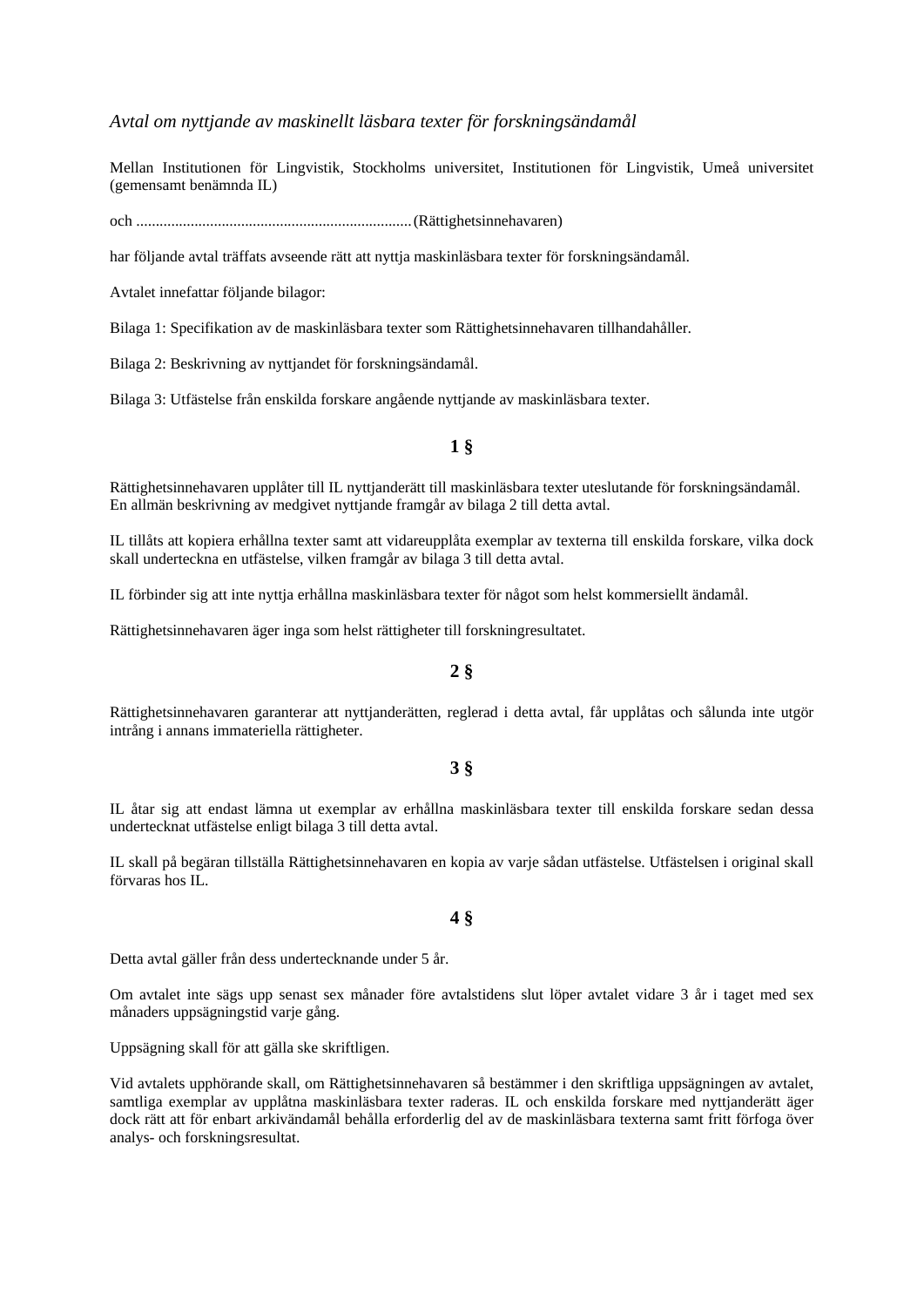## *Avtal om nyttjande av maskinellt läsbara texter för forskningsändamål*

Mellan Institutionen för Lingvistik, Stockholms universitet, Institutionen för Lingvistik, Umeå universitet (gemensamt benämnda IL)

och ....................................................................... (Rättighetsinnehavaren)

har följande avtal träffats avseende rätt att nyttja maskinläsbara texter för forskningsändamål.

Avtalet innefattar följande bilagor:

Bilaga 1: Specifikation av de maskinläsbara texter som Rättighetsinnehavaren tillhandahåller.

Bilaga 2: Beskrivning av nyttjandet för forskningsändamål.

Bilaga 3: Utfästelse från enskilda forskare angående nyttjande av maskinläsbara texter.

## **1 §**

Rättighetsinnehavaren upplåter till IL nyttjanderätt till maskinläsbara texter uteslutande för forskningsändamål. En allmän beskrivning av medgivet nyttjande framgår av bilaga 2 till detta avtal.

IL tillåts att kopiera erhållna texter samt att vidareupplåta exemplar av texterna till enskilda forskare, vilka dock skall underteckna en utfästelse, vilken framgår av bilaga 3 till detta avtal.

IL förbinder sig att inte nyttja erhållna maskinläsbara texter för något som helst kommersiellt ändamål.

Rättighetsinnehavaren äger inga som helst rättigheter till forskningresultatet.

## **2 §**

Rättighetsinnehavaren garanterar att nyttjanderätten, reglerad i detta avtal, får upplåtas och sålunda inte utgör intrång i annans immateriella rättigheter.

### **3 §**

IL åtar sig att endast lämna ut exemplar av erhållna maskinläsbara texter till enskilda forskare sedan dessa undertecknat utfästelse enligt bilaga 3 till detta avtal.

IL skall på begäran tillställa Rättighetsinnehavaren en kopia av varje sådan utfästelse. Utfästelsen i original skall förvaras hos IL.

**4 §** 

Detta avtal gäller från dess undertecknande under 5 år.

Om avtalet inte sägs upp senast sex månader före avtalstidens slut löper avtalet vidare 3 år i taget med sex månaders uppsägningstid varje gång.

Uppsägning skall för att gälla ske skriftligen.

Vid avtalets upphörande skall, om Rättighetsinnehavaren så bestämmer i den skriftliga uppsägningen av avtalet, samtliga exemplar av upplåtna maskinläsbara texter raderas. IL och enskilda forskare med nyttjanderätt äger dock rätt att för enbart arkivändamål behålla erforderlig del av de maskinläsbara texterna samt fritt förfoga över analys- och forskningsresultat.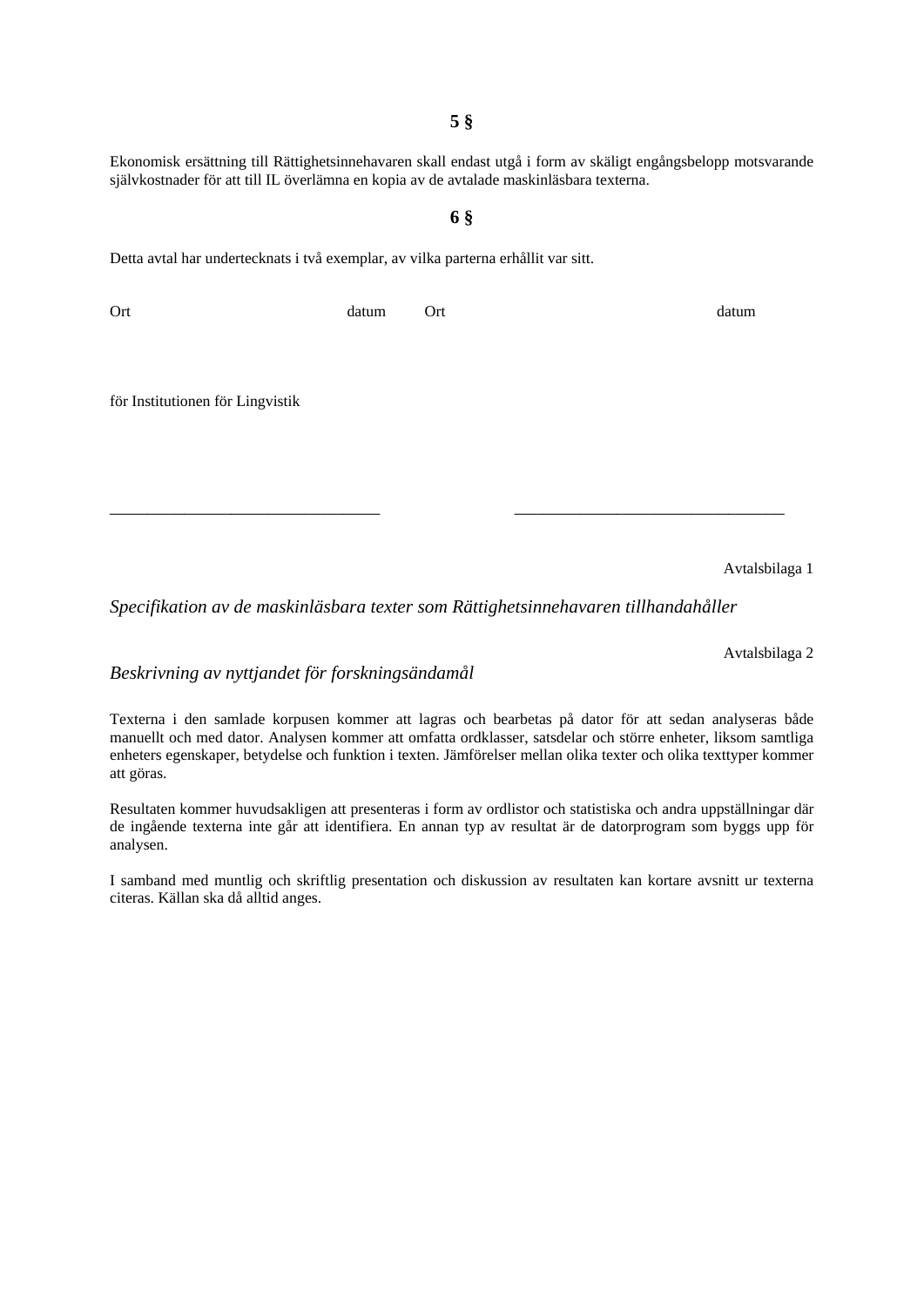**5 §** 

Ekonomisk ersättning till Rättighetsinnehavaren skall endast utgå i form av skäligt engångsbelopp motsvarande självkostnader för att till IL överlämna en kopia av de avtalade maskinläsbara texterna.

# **6 §**

Detta avtal har undertecknats i två exemplar, av vilka parterna erhållit var sitt.

Ort datum Ort datum för Institutionen för Lingvistik

\_\_\_\_\_\_\_\_\_\_\_\_\_\_\_\_\_\_\_\_\_\_\_\_\_\_\_\_\_ \_\_\_\_\_\_\_\_\_\_\_\_\_\_\_\_\_\_\_\_\_\_\_\_\_\_\_\_\_

Avtalsbilaga 1

*Specifikation av de maskinläsbara texter som Rättighetsinnehavaren tillhandahåller* 

Avtalsbilaga 2

*Beskrivning av nyttjandet för forskningsändamål* 

Texterna i den samlade korpusen kommer att lagras och bearbetas på dator för att sedan analyseras både manuellt och med dator. Analysen kommer att omfatta ordklasser, satsdelar och större enheter, liksom samtliga enheters egenskaper, betydelse och funktion i texten. Jämförelser mellan olika texter och olika texttyper kommer att göras.

Resultaten kommer huvudsakligen att presenteras i form av ordlistor och statistiska och andra uppställningar där de ingående texterna inte går att identifiera. En annan typ av resultat är de datorprogram som byggs upp för analysen.

I samband med muntlig och skriftlig presentation och diskussion av resultaten kan kortare avsnitt ur texterna citeras. Källan ska då alltid anges.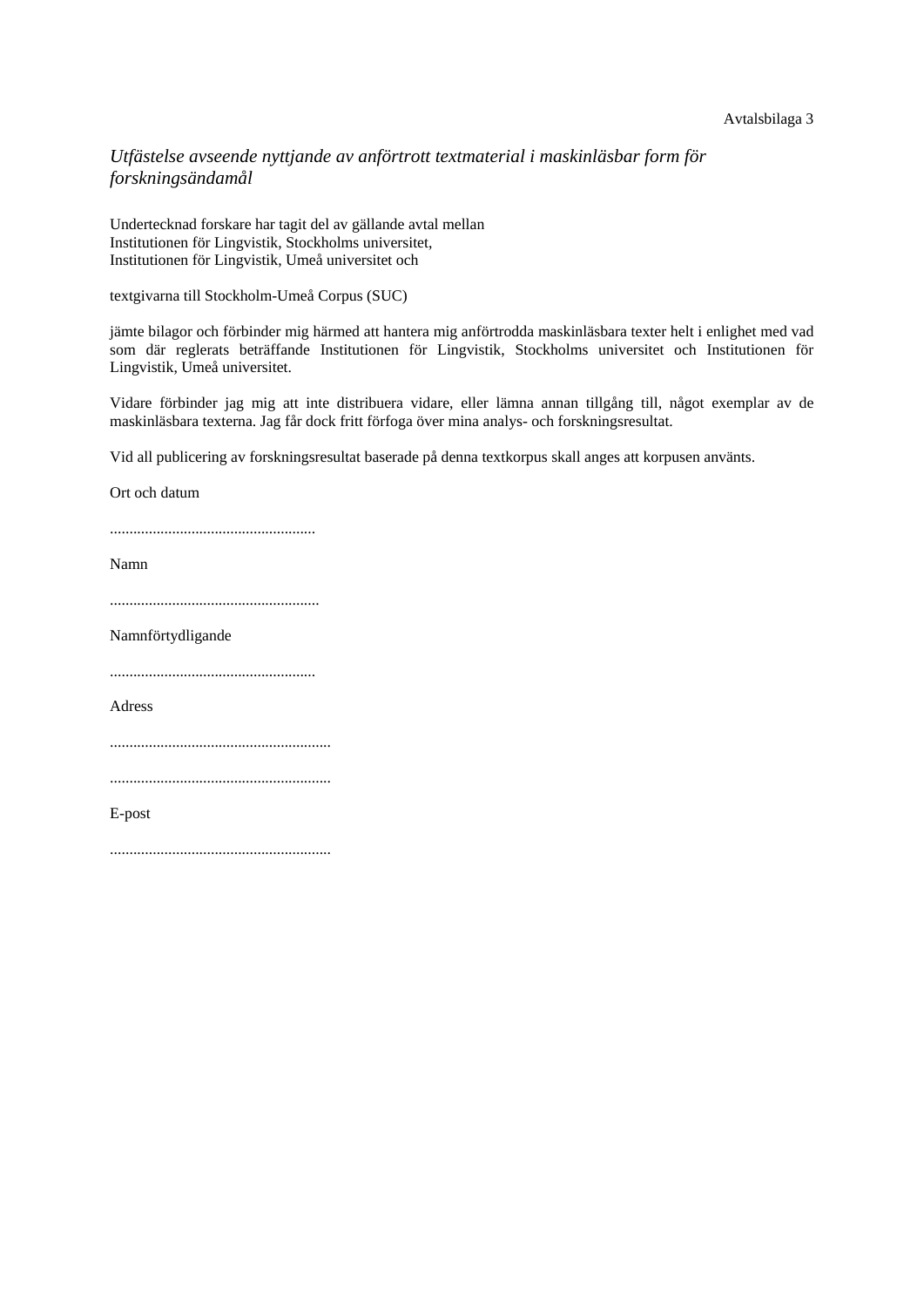#### Avtalsbilaga 3

## *Utfästelse avseende nyttjande av anförtrott textmaterial i maskinläsbar form för forskningsändamål*

Undertecknad forskare har tagit del av gällande avtal mellan Institutionen för Lingvistik, Stockholms universitet, Institutionen för Lingvistik, Umeå universitet och

textgivarna till Stockholm-Umeå Corpus (SUC)

jämte bilagor och förbinder mig härmed att hantera mig anförtrodda maskinläsbara texter helt i enlighet med vad som där reglerats beträffande Institutionen för Lingvistik, Stockholms universitet och Institutionen för Lingvistik, Umeå universitet.

Vidare förbinder jag mig att inte distribuera vidare, eller lämna annan tillgång till, något exemplar av de maskinläsbara texterna. Jag får dock fritt förfoga över mina analys- och forskningsresultat.

Vid all publicering av forskningsresultat baserade på denna textkorpus skall anges att korpusen använts.

Ort och datum

.....................................................

Namn

......................................................

Namnförtydligande

.....................................................

Adress

.........................................................

E-post

.........................................................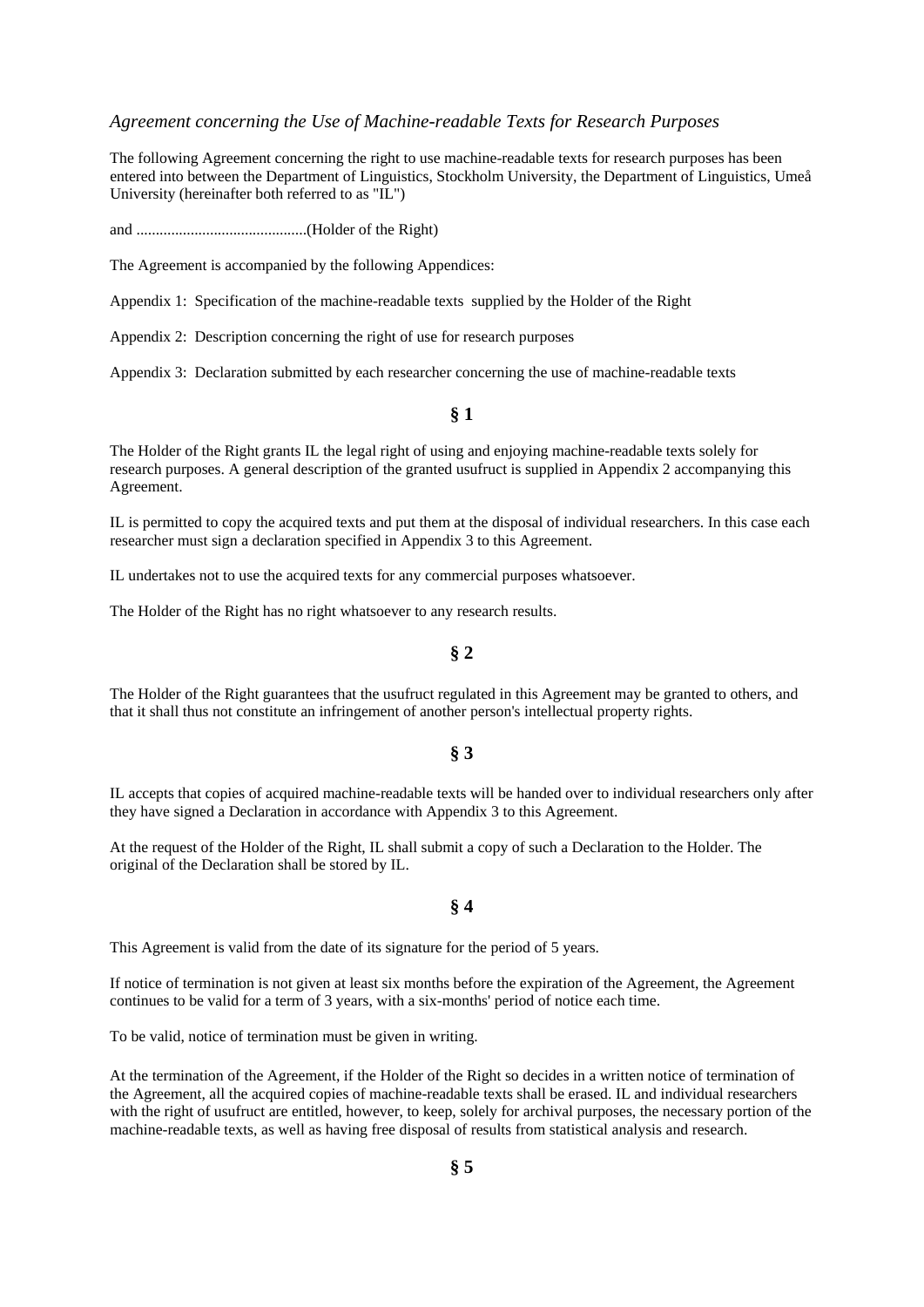#### *Agreement concerning the Use of Machine-readable Texts for Research Purposes*

The following Agreement concerning the right to use machine-readable texts for research purposes has been entered into between the Department of Linguistics, Stockholm University, the Department of Linguistics, Umeå University (hereinafter both referred to as "IL")

and ............................................(Holder of the Right)

The Agreement is accompanied by the following Appendices:

Appendix 1: Specification of the machine-readable texts supplied by the Holder of the Right

Appendix 2: Description concerning the right of use for research purposes

Appendix 3: Declaration submitted by each researcher concerning the use of machine-readable texts

#### **§ 1**

The Holder of the Right grants IL the legal right of using and enjoying machine-readable texts solely for research purposes. A general description of the granted usufruct is supplied in Appendix 2 accompanying this Agreement.

IL is permitted to copy the acquired texts and put them at the disposal of individual researchers. In this case each researcher must sign a declaration specified in Appendix 3 to this Agreement.

IL undertakes not to use the acquired texts for any commercial purposes whatsoever.

The Holder of the Right has no right whatsoever to any research results.

### **§ 2**

The Holder of the Right guarantees that the usufruct regulated in this Agreement may be granted to others, and that it shall thus not constitute an infringement of another person's intellectual property rights.

#### **§ 3**

IL accepts that copies of acquired machine-readable texts will be handed over to individual researchers only after they have signed a Declaration in accordance with Appendix 3 to this Agreement.

At the request of the Holder of the Right, IL shall submit a copy of such a Declaration to the Holder. The original of the Declaration shall be stored by IL.

#### **§ 4**

This Agreement is valid from the date of its signature for the period of 5 years.

If notice of termination is not given at least six months before the expiration of the Agreement, the Agreement continues to be valid for a term of 3 years, with a six-months' period of notice each time.

To be valid, notice of termination must be given in writing.

At the termination of the Agreement, if the Holder of the Right so decides in a written notice of termination of the Agreement, all the acquired copies of machine-readable texts shall be erased. IL and individual researchers with the right of usufruct are entitled, however, to keep, solely for archival purposes, the necessary portion of the machine-readable texts, as well as having free disposal of results from statistical analysis and research.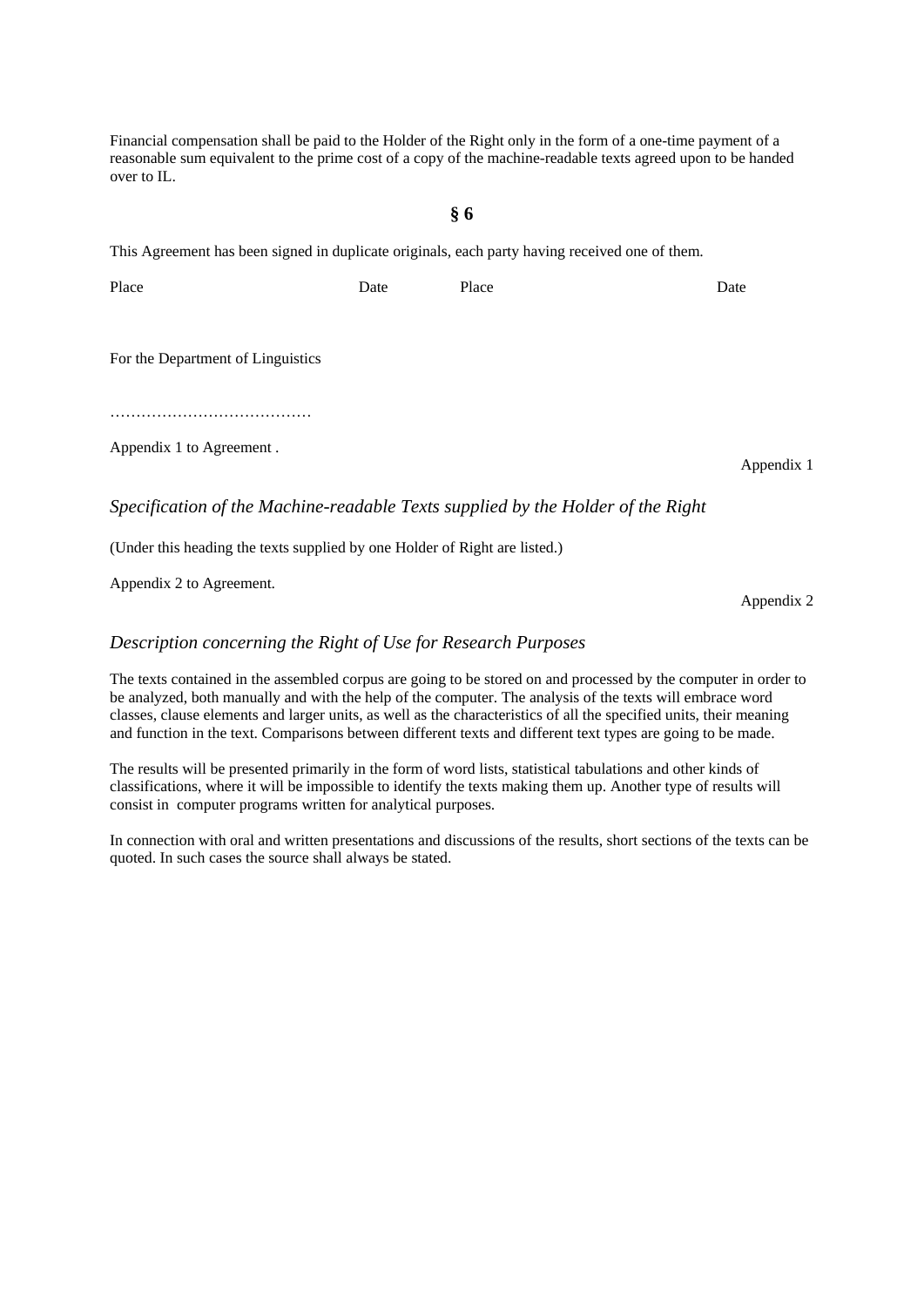Financial compensation shall be paid to the Holder of the Right only in the form of a one-time payment of a reasonable sum equivalent to the prime cost of a copy of the machine-readable texts agreed upon to be handed over to IL.

### **§ 6**

This Agreement has been signed in duplicate originals, each party having received one of them.

Place Date Date Place Date Date Date For the Department of Linguistics

…………………………………………

Appendix 1 to Agreement .

Appendix 1

# *Specification of the Machine-readable Texts supplied by the Holder of the Right*

(Under this heading the texts supplied by one Holder of Right are listed.)

Appendix 2 to Agreement.

## *Description concerning the Right of Use for Research Purposes*

The texts contained in the assembled corpus are going to be stored on and processed by the computer in order to be analyzed, both manually and with the help of the computer. The analysis of the texts will embrace word classes, clause elements and larger units, as well as the characteristics of all the specified units, their meaning and function in the text. Comparisons between different texts and different text types are going to be made.

The results will be presented primarily in the form of word lists, statistical tabulations and other kinds of classifications, where it will be impossible to identify the texts making them up. Another type of results will consist in computer programs written for analytical purposes.

In connection with oral and written presentations and discussions of the results, short sections of the texts can be quoted. In such cases the source shall always be stated.

Appendix 2